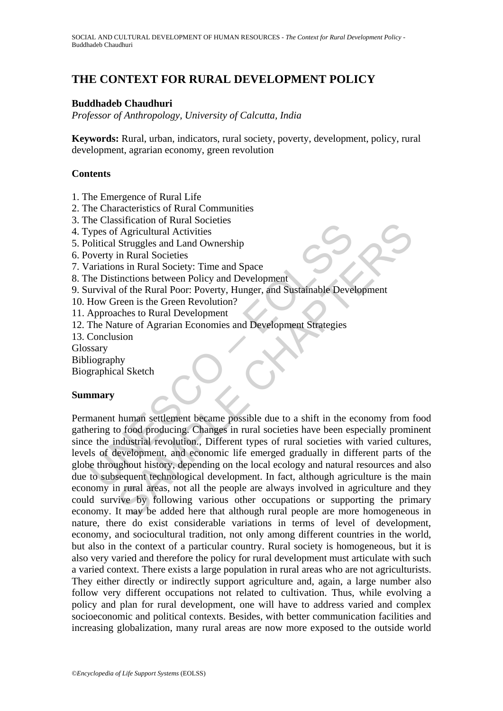# **THE CONTEXT FOR RURAL DEVELOPMENT POLICY**

#### **Buddhadeb Chaudhuri**

*Professor of Anthropology, University of Calcutta, India* 

**Keywords:** Rural, urban, indicators, rural society, poverty, development, policy, rural development, agrarian economy, green revolution

#### **Contents**

- 1. The Emergence of Rural Life
- 2. The Characteristics of Rural Communities
- 3. The Classification of Rural Societies
- 4. Types of Agricultural Activities
- 5. Political Struggles and Land Ownership
- 6. Poverty in Rural Societies
- 7. Variations in Rural Society: Time and Space
- 8. The Distinctions between Policy and Development
- 9. Survival of the Rural Poor: Poverty, Hunger, and Sustainable Development
- 10. How Green is the Green Revolution?
- 11. Approaches to Rural Development
- 12. The Nature of Agrarian Economies and Development Strategies
- 13. Conclusion
- Glossary
- Bibliography
- Biographical Sketch

#### **Summary**

The Cassimidation of National Societies<br>
Spees of Agricultural Activities<br>
olitical Struggles and Land Ownership<br>
overty in Rural Societies<br>
ariations in Rural Societies<br>
the Distinctions between Policy and Development<br>
Ho Shutation of Natial Societies<br>
Shutation of Maricultural Activities<br>
Struggles and Land Ownership<br>
in Rural Societies<br>
Struggles and Land Ownership<br>
in Rural Societies<br>
tinctions between Policy and Development<br>
of the Rura Permanent human settlement became possible due to a shift in the economy from food gathering to food producing. Changes in rural societies have been especially prominent since the industrial revolution., Different types of rural societies with varied cultures, levels of development, and economic life emerged gradually in different parts of the globe throughout history, depending on the local ecology and natural resources and also due to subsequent technological development. In fact, although agriculture is the main economy in rural areas, not all the people are always involved in agriculture and they could survive by following various other occupations or supporting the primary economy. It may be added here that although rural people are more homogeneous in nature, there do exist considerable variations in terms of level of development, economy, and sociocultural tradition, not only among different countries in the world, but also in the context of a particular country. Rural society is homogeneous, but it is also very varied and therefore the policy for rural development must articulate with such a varied context. There exists a large population in rural areas who are not agriculturists. They either directly or indirectly support agriculture and, again, a large number also follow very different occupations not related to cultivation. Thus, while evolving a policy and plan for rural development, one will have to address varied and complex socioeconomic and political contexts. Besides, with better communication facilities and increasing globalization, many rural areas are now more exposed to the outside world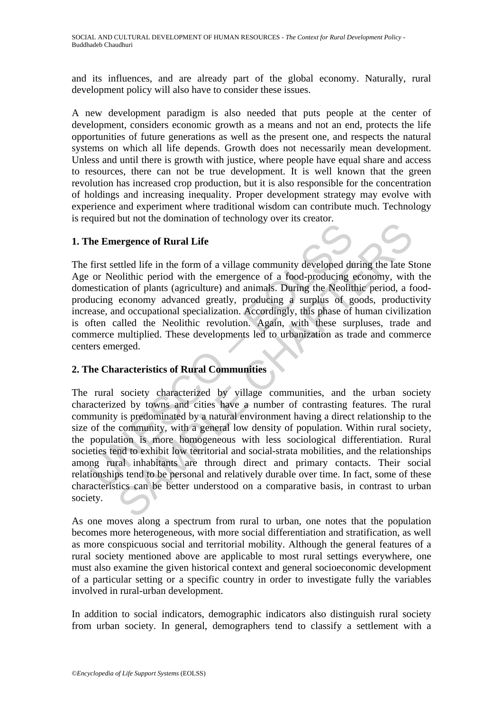and its influences, and are already part of the global economy. Naturally, rural development policy will also have to consider these issues.

A new development paradigm is also needed that puts people at the center of development, considers economic growth as a means and not an end, protects the life opportunities of future generations as well as the present one, and respects the natural systems on which all life depends. Growth does not necessarily mean development. Unless and until there is growth with justice, where people have equal share and access to resources, there can not be true development. It is well known that the green revolution has increased crop production, but it is also responsible for the concentration of holdings and increasing inequality. Proper development strategy may evolve with experience and experiment where traditional wisdom can contribute much. Technology is required but not the domination of technology over its creator.

## **1. The Emergence of Rural Life**

The first settled life in the form of a village community developed during the late Stone Age or Neolithic period with the emergence of a food-producing economy, with the domestication of plants (agriculture) and animals. During the Neolithic period, a foodproducing economy advanced greatly, producing a surplus of goods, productivity increase, and occupational specialization. Accordingly, this phase of human civilization is often called the Neolithic revolution. Again, with these surpluses, trade and commerce multiplied. These developments led to urbanization as trade and commerce centers emerged.

## **2. The Characteristics of Rural Communities**

The Emergence of Rural Life<br>
first settled life in the form of a village community developed de<br>
or Neolithic period with the emergence of a food-producing<br>
ensitication of plants (agriculture) and animals. During the Neol exercise of Rural Life<br>extend of sommators of contracts of several extendents<br>extend the energience of a food-producing economy, with<br>conditive period with the emergence of a food-producing economy, with<br>coron of plants (a The rural society characterized by village communities, and the urban society characterized by towns and cities have a number of contrasting features. The rural community is predominated by a natural environment having a direct relationship to the size of the community, with a general low density of population. Within rural society, the population is more homogeneous with less sociological differentiation. Rural societies tend to exhibit low territorial and social-strata mobilities, and the relationships among rural inhabitants are through direct and primary contacts. Their social relationships tend to be personal and relatively durable over time. In fact, some of these characteristics can be better understood on a comparative basis, in contrast to urban society.

As one moves along a spectrum from rural to urban, one notes that the population becomes more heterogeneous, with more social differentiation and stratification, as well as more conspicuous social and territorial mobility. Although the general features of a rural society mentioned above are applicable to most rural settings everywhere, one must also examine the given historical context and general socioeconomic development of a particular setting or a specific country in order to investigate fully the variables involved in rural-urban development.

In addition to social indicators, demographic indicators also distinguish rural society from urban society. In general, demographers tend to classify a settlement with a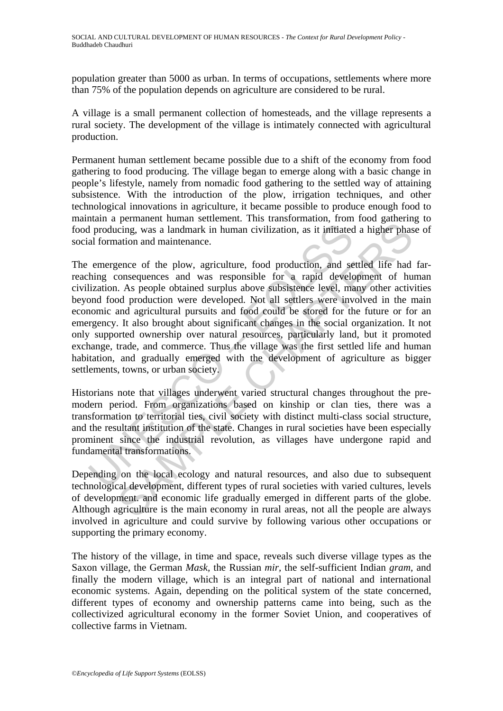population greater than 5000 as urban. In terms of occupations, settlements where more than 75% of the population depends on agriculture are considered to be rural.

A village is a small permanent collection of homesteads, and the village represents a rural society. The development of the village is intimately connected with agricultural production.

Permanent human settlement became possible due to a shift of the economy from food gathering to food producing. The village began to emerge along with a basic change in people's lifestyle, namely from nomadic food gathering to the settled way of attaining subsistence. With the introduction of the plow, irrigation techniques, and other technological innovations in agriculture, it became possible to produce enough food to maintain a permanent human settlement. This transformation, from food gathering to food producing, was a landmark in human civilization, as it initiated a higher phase of social formation and maintenance.

If producing, was a landmark in human civilization, as it initiated<br>al formation and maintenance.<br>hing consequences and was responsible for a rapid develigation. As people obtained surplus above subsistence level, may<br>high Formulation and mathematic included in the people and the people and the people and the people are all<br>giving, was a landmark in human civilization, as it initiated a higher phas<br>attion and maintenance.<br>tence of the plow, The emergence of the plow, agriculture, food production, and settled life had farreaching consequences and was responsible for a rapid development of human civilization. As people obtained surplus above subsistence level, many other activities beyond food production were developed. Not all settlers were involved in the main economic and agricultural pursuits and food could be stored for the future or for an emergency. It also brought about significant changes in the social organization. It not only supported ownership over natural resources, particularly land, but it promoted exchange, trade, and commerce. Thus the village was the first settled life and human habitation, and gradually emerged with the development of agriculture as bigger settlements, towns, or urban society.

Historians note that villages underwent varied structural changes throughout the premodern period. From organizations based on kinship or clan ties, there was a transformation to territorial ties, civil society with distinct multi-class social structure, and the resultant institution of the state. Changes in rural societies have been especially prominent since the industrial revolution, as villages have undergone rapid and fundamental transformations.

Depending on the local ecology and natural resources, and also due to subsequent technological development, different types of rural societies with varied cultures, levels of development. and economic life gradually emerged in different parts of the globe. Although agriculture is the main economy in rural areas, not all the people are always involved in agriculture and could survive by following various other occupations or supporting the primary economy.

The history of the village, in time and space, reveals such diverse village types as the Saxon village, the German *Mask,* the Russian *mir,* the self-sufficient Indian *gram,* and finally the modern village, which is an integral part of national and international economic systems. Again, depending on the political system of the state concerned, different types of economy and ownership patterns came into being, such as the collectivized agricultural economy in the former Soviet Union, and cooperatives of collective farms in Vietnam.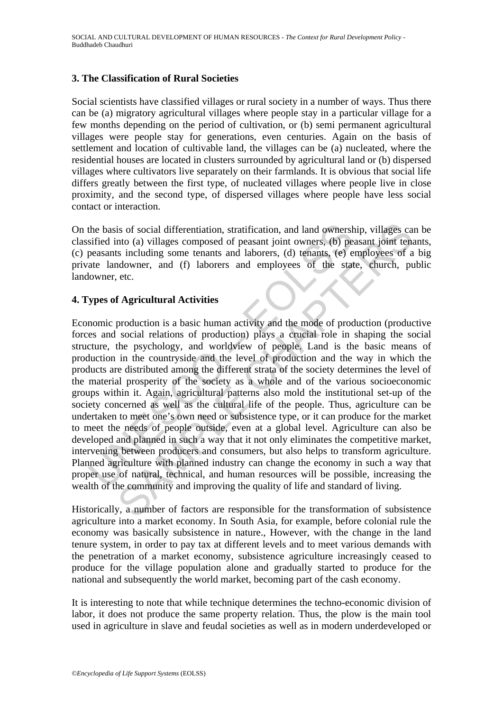#### **3. The Classification of Rural Societies**

Social scientists have classified villages or rural society in a number of ways. Thus there can be (a) migratory agricultural villages where people stay in a particular village for a few months depending on the period of cultivation, or (b) semi permanent agricultural villages were people stay for generations, even centuries. Again on the basis of settlement and location of cultivable land, the villages can be (a) nucleated, where the residential houses are located in clusters surrounded by agricultural land or (b) dispersed villages where cultivators live separately on their farmlands. It is obvious that social life differs greatly between the first type, of nucleated villages where people live in close proximity, and the second type, of dispersed villages where people have less social contact or interaction.

On the basis of social differentiation, stratification, and land ownership, villages can be classified into (a) villages composed of peasant joint owners, (b) peasant joint tenants, (c) peasants including some tenants and laborers, (d) tenants, (e) employees of a big private landowner, and (f) laborers and employees of the state, church, public landowner, etc.

## **4. Types of Agricultural Activities**

the basis of social differentiation, stratification, and land ownershave sified into (a) villages composed of peasant joint owners, (b) pe<br>peasants including some tenants and laborers, (d) tenants, (e) e<br>ate landowner, and is of social differentiation, stratification, and land ownership, villages can<br>to (a) villages composed of peasant joint owners, (b) peasant joint tend<br>to (a) villages composed of peasant joint owners, (b) peasant joint te Economic production is a basic human activity and the mode of production (productive forces and social relations of production) plays a crucial role in shaping the social structure, the psychology, and worldview of people. Land is the basic means of production in the countryside and the level of production and the way in which the products are distributed among the different strata of the society determines the level of the material prosperity of the society as a whole and of the various socioeconomic groups within it. Again, agricultural patterns also mold the institutional set-up of the society concerned as well as the cultural life of the people. Thus, agriculture can be undertaken to meet one's own need or subsistence type, or it can produce for the market to meet the needs of people outside, even at a global level. Agriculture can also be developed and planned in such a way that it not only eliminates the competitive market, intervening between producers and consumers, but also helps to transform agriculture. Planned agriculture with planned industry can change the economy in such a way that proper use of natural, technical, and human resources will be possible, increasing the wealth of the community and improving the quality of life and standard of living.

Historically, a number of factors are responsible for the transformation of subsistence agriculture into a market economy. In South Asia, for example, before colonial rule the economy was basically subsistence in nature., However, with the change in the land tenure system, in order to pay tax at different levels and to meet various demands with the penetration of a market economy, subsistence agriculture increasingly ceased to produce for the village population alone and gradually started to produce for the national and subsequently the world market, becoming part of the cash economy.

It is interesting to note that while technique determines the techno-economic division of labor, it does not produce the same property relation. Thus, the plow is the main tool used in agriculture in slave and feudal societies as well as in modern underdeveloped or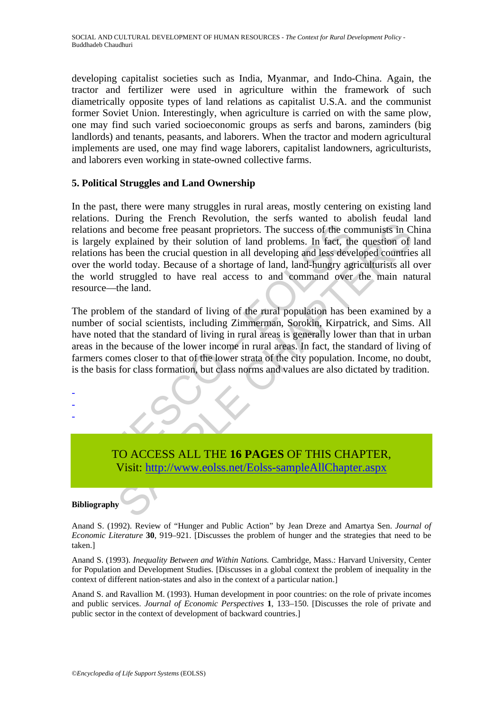developing capitalist societies such as India, Myanmar, and Indo-China. Again, the tractor and fertilizer were used in agriculture within the framework of such diametrically opposite types of land relations as capitalist U.S.A. and the communist former Soviet Union. Interestingly, when agriculture is carried on with the same plow, one may find such varied socioeconomic groups as serfs and barons, zaminders (big landlords) and tenants, peasants, and laborers. When the tractor and modern agricultural implements are used, one may find wage laborers, capitalist landowners, agriculturists, and laborers even working in state-owned collective farms.

#### **5. Political Struggles and Land Ownership**

tions and become free peasant proprietors. The success of the correctly explained by their solution of land problems. In fact, the success of as both the crucial question in all developing and less devert the world today. Something the peasant proprietors. The success of the communists in C<br>explained by their solution of land problems. In fact, the question of<br>explained by their solution of land problems. In fact, the question of<br>orbid toda In the past, there were many struggles in rural areas, mostly centering on existing land relations. During the French Revolution, the serfs wanted to abolish feudal land relations and become free peasant proprietors. The success of the communists in China is largely explained by their solution of land problems. In fact, the question of land relations has been the crucial question in all developing and less developed countries all over the world today. Because of a shortage of land, land-hungry agriculturists all over the world struggled to have real access to and command over the main natural resource—the land.

The problem of the standard of living of the rural population has been examined by a number of social scientists, including Zimmerman, Sorokin, Kirpatrick, and Sims. All have noted that the standard of living in rural areas is generally lower than that in urban areas in the because of the lower income in rural areas. In fact, the standard of living of farmers comes closer to that of the lower strata of the city population. Income, no doubt, is the basis for class formation, but class norms and values are also dictated by tradition.

- -

-

TO ACCESS ALL THE **16 PAGES** OF THIS CHAPTER, Visit: http://www.eolss.net/Eolss-sampleAllChapter.aspx

#### **Bibliography**

Anand S. (1992). Review of "Hunger and Public Action" by Jean Dreze and Amartya Sen. *Journal of Economic Literature* **30**, 919–921. [Discusses the problem of hunger and the strategies that need to be taken.]

Anand S. (1993). *Inequality Between and Within Nations.* Cambridge, Mass.: Harvard University, Center for Population and Development Studies. [Discusses in a global context the problem of inequality in the context of different nation-states and also in the context of a particular nation.]

Anand S. and Ravallion M. (1993). Human development in poor countries: on the role of private incomes and public services. *Journal of Economic Perspectives* **1**, 133–150. [Discusses the role of private and public sector in the context of development of backward countries.]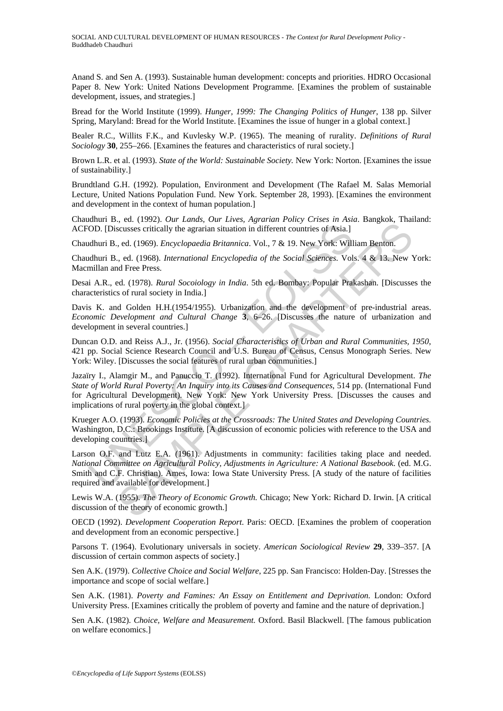Anand S. and Sen A. (1993). Sustainable human development: concepts and priorities. HDRO Occasional Paper 8. New York: United Nations Development Programme. [Examines the problem of sustainable development, issues, and strategies.]

Bread for the World Institute (1999). *Hunger, 1999: The Changing Politics of Hunger*, 138 pp. Silver Spring, Maryland: Bread for the World Institute. [Examines the issue of hunger in a global context.]

Bealer R.C., Willits F.K., and Kuvlesky W.P. (1965). The meaning of rurality. *Definitions of Rural Sociology* **30**, 255–266. [Examines the features and characteristics of rural society.]

Brown L.R. et al. (1993). *State of the World: Sustainable Society.* New York: Norton. [Examines the issue of sustainability.]

Brundtland G.H. (1992). Population, Environment and Development (The Rafael M. Salas Memorial Lecture, United Nations Population Fund. New York. September 28, 1993). [Examines the environment and development in the context of human population.]

Chaudhuri B., ed. (1992). *Our Lands, Our Lives, Agrarian Policy Crises in Asia*. Bangkok, Thailand: ACFOD. [Discusses critically the agrarian situation in different countries of Asia.]

Chaudhuri B., ed. (1969). *Encyclopaedia Britannica*. Vol., 7 & 19. New York: William Benton.

Chaudhuri B., ed. (1968). *International Encyclopedia of the Social Sciences.* Vols. 4 & 13. New York: Macmillan and Free Press.

Desai A.R., ed. (1978). *Rural Socoiology in India*. 5th ed. Bombay: Popular Prakashan. [Discusses the characteristics of rural society in India.]

Davis K. and Golden H.H.(1954/1955). Urbanization and the development of pre-industrial areas. *Economic Development and Cultural Change* **3**, 6–26. [Discusses the nature of urbanization and development in several countries.]

Duncan O.D. and Reiss A.J., Jr. (1956). *Social Characteristics of Urban and Rural Communities, 1950*, 421 pp. Social Science Research Council and U.S. Bureau of Census, Census Monograph Series. New York: Wiley. [Discusses the social features of rural urban communities.]

OD. [Discusses critically the agrarian situation in different countries of Asia.]<br>ulhuri B., ed. (1969). *Encyclopaedia Britannica*. Vol., 7 & 19. New York: Will<br>ulhuri B., ed. (1968). *International Encyclopedia of the So* , co. (1972). *Commic Policies at the Crossroads:* The United States and Development (1954). *From Line Scutsess* eritically the agrarian situation in different countries of Asia.] *Sampleon, Thata, ed.* (1968). *Internat* Jazaïry I., Alamgir M., and Panuccio T. (1992). International Fund for Agricultural Development. *The State of World Rural Poverty: An Inquiry into its Causes and Consequences*, 514 pp. (International Fund for Agricultural Development). New York: New York University Press. [Discusses the causes and implications of rural poverty in the global context.]

Krueger A.O. (1993). *Economic Policies at the Crossroads: The United States and Developing Countries.* Washington, D.C.: Brookings Institute. [A discussion of economic policies with reference to the USA and developing countries.]

Larson O.F. and Lutz E.A. (1961). Adjustments in community: facilities taking place and needed. *National Committee on Agricultural Policy, Adjustments in Agriculture: A National Basebook*. (ed. M.G. Smith and C.F. Christian). Ames, Iowa: Iowa State University Press. [A study of the nature of facilities required and available for development.]

Lewis W.A. (1955). *The Theory of Economic Growth.* Chicago; New York: Richard D. Irwin. [A critical discussion of the theory of economic growth.]

OECD (1992). *Development Cooperation Report*. Paris: OECD. [Examines the problem of cooperation and development from an economic perspective.]

Parsons T. (1964). Evolutionary universals in society. *American Sociological Review* **29**, 339–357. [A discussion of certain common aspects of society.]

Sen A.K. (1979). *Collective Choice and Social Welfare*, 225 pp. San Francisco: Holden-Day. [Stresses the importance and scope of social welfare.]

Sen A.K. (1981). *Poverty and Famines: An Essay on Entitlement and Deprivation.* London: Oxford University Press. [Examines critically the problem of poverty and famine and the nature of deprivation.]

Sen A.K. (1982). *Choice, Welfare and Measurement.* Oxford. Basil Blackwell. [The famous publication on welfare economics.]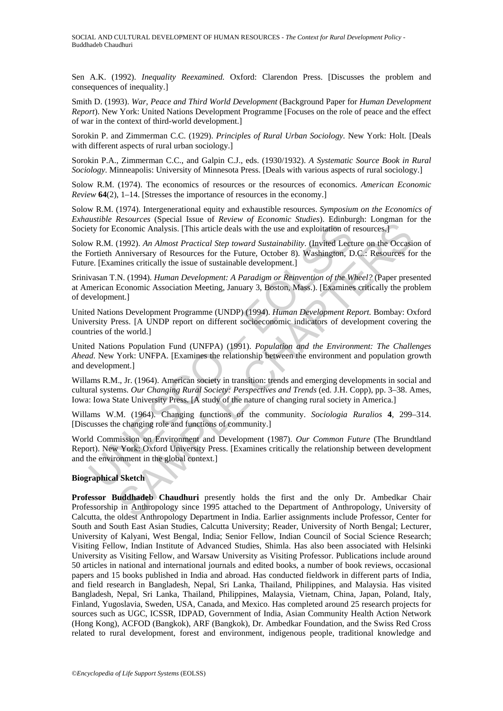Sen A.K. (1992). *Inequality Reexamined.* Oxford: Clarendon Press. [Discusses the problem and consequences of inequality.]

Smith D. (1993). *War, Peace and Third World Development* (Background Paper for *Human Development Report*). New York: United Nations Development Programme [Focuses on the role of peace and the effect of war in the context of third-world development.]

Sorokin P. and Zimmerman C.C. (1929). *Principles of Rural Urban Sociology.* New York: Holt. [Deals with different aspects of rural urban sociology.

Sorokin P.A., Zimmerman C.C., and Galpin C.J., eds. (1930/1932). *A Systematic Source Book in Rural Sociology*. Minneapolis: University of Minnesota Press. [Deals with various aspects of rural sociology.]

Solow R.M. (1974). The economics of resources or the resources of economics. *American Economic Review* **64**(2), 1–14. [Stresses the importance of resources in the economy.]

Solow R.M. (1974). Intergenerational equity and exhaustible resources. *Symposium on the Economics of Exhaustible Resources* (Special Issue of *Review of Economic Studies*). Edinburgh: Longman for the Society for Economic Analysis. [This article deals with the use and exploitation of resources.]

Solow R.M. (1992). *An Almost Practical Step toward Sustainability*. (Invited Lecture on the Occasion of the Fortieth Anniversary of Resources for the Future, October 8). Washington, D.C.: Resources for the Future. [Examines critically the issue of sustainable development.]

Srinivasan T.N. (1994). *Human Development: A Paradigm or Reinvention of the Wheel?* (Paper presented at American Economic Association Meeting, January 3, Boston, Mass.). [Examines critically the problem of development.]

United Nations Development Programme (UNDP) (1994). *Human Development Report.* Bombay: Oxford University Press. [A UNDP report on different socioeconomic indicators of development covering the countries of the world.]

United Nations Population Fund (UNFPA) (1991). *Population and the Environment: The Challenges Ahead*. New York: UNFPA. [Examines the relationship between the environment and population growth and development.]

Willams R.M., Jr. (1964). American society in transition: trends and emerging developments in social and cultural systems. *Our Changing Rural Society: Perspectives and Trends* (ed. J.H. Copp), pp. 3–38. Ames, Iowa: Iowa State University Press. [A study of the nature of changing rural society in America.]

Willams W.M. (1964). Changing functions of the community. *Sociologia Ruralios* **4**, 299–314. [Discusses the changing role and functions of community.]

Ety for Economic Analysis. [This article deals with the use and exploitation of the W.M. (1992). An Almost Practical Step toward Sustainability. (Invited Lect cortict Anniversary of Resources for the Future, October 8). Wa Economic Analysis. [This article deals with the use and exploitation of resources-<br>
conomic Analysis. [This article deals with the use and exploitation of resources-<br>
(1992). An Almost Practical Step toward Sustainability. World Commission on Environment and Development (1987). *Our Common Future* (The Brundtland Report). New York: Oxford University Press. [Examines critically the relationship between development and the environment in the global context.]

#### **Biographical Sketch**

**Professor Buddhadeb Chaudhuri** presently holds the first and the only Dr. Ambedkar Chair Professorship in Anthropology since 1995 attached to the Department of Anthropology, University of Calcutta, the oldest Anthropology Department in India. Earlier assignments include Professor, Center for South and South East Asian Studies, Calcutta University; Reader, University of North Bengal; Lecturer, University of Kalyani, West Bengal, India; Senior Fellow, Indian Council of Social Science Research; Visiting Fellow, Indian Institute of Advanced Studies, Shimla. Has also been associated with Helsinki University as Visiting Fellow, and Warsaw University as Visiting Professor. Publications include around 50 articles in national and international journals and edited books, a number of book reviews, occasional papers and 15 books published in India and abroad. Has conducted fieldwork in different parts of India, and field research in Bangladesh, Nepal, Sri Lanka, Thailand, Philippines, and Malaysia. Has visited Bangladesh, Nepal, Sri Lanka, Thailand, Philippines, Malaysia, Vietnam, China, Japan, Poland, Italy, Finland, Yugoslavia, Sweden, USA, Canada, and Mexico. Has completed around 25 research projects for sources such as UGC, ICSSR, IDPAD, Government of India, Asian Community Health Action Network (Hong Kong), ACFOD (Bangkok), ARF (Bangkok), Dr. Ambedkar Foundation, and the Swiss Red Cross related to rural development, forest and environment, indigenous people, traditional knowledge and